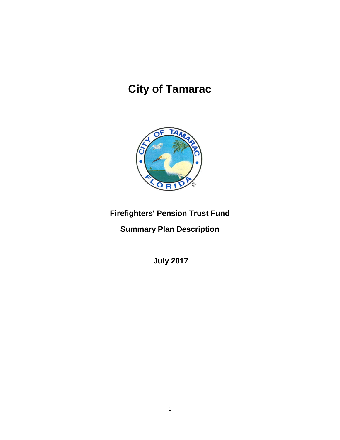# **City of Tamarac**



# **Firefighters' Pension Trust Fund**

**Summary Plan Description**

**July 2017**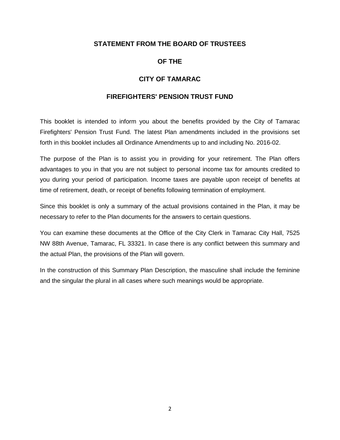# **STATEMENT FROM THE BOARD OF TRUSTEES**

# **OF THE**

#### **CITY OF TAMARAC**

#### **FIREFIGHTERS' PENSION TRUST FUND**

This booklet is intended to inform you about the benefits provided by the City of Tamarac Firefighters' Pension Trust Fund. The latest Plan amendments included in the provisions set forth in this booklet includes all Ordinance Amendments up to and including No. 2016-02.

The purpose of the Plan is to assist you in providing for your retirement. The Plan offers advantages to you in that you are not subject to personal income tax for amounts credited to you during your period of participation. Income taxes are payable upon receipt of benefits at time of retirement, death, or receipt of benefits following termination of employment.

Since this booklet is only a summary of the actual provisions contained in the Plan, it may be necessary to refer to the Plan documents for the answers to certain questions.

You can examine these documents at the Office of the City Clerk in Tamarac City Hall, 7525 NW 88th Avenue, Tamarac, FL 33321. In case there is any conflict between this summary and the actual Plan, the provisions of the Plan will govern.

In the construction of this Summary Plan Description, the masculine shall include the feminine and the singular the plural in all cases where such meanings would be appropriate.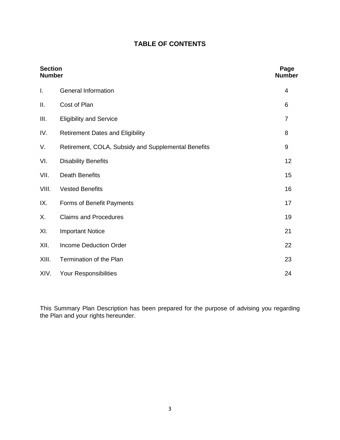# **TABLE OF CONTENTS**

| <b>Section</b><br><b>Number</b> |                                                     | Page<br><b>Number</b> |
|---------------------------------|-----------------------------------------------------|-----------------------|
| I.                              | <b>General Information</b>                          | 4                     |
| П.                              | Cost of Plan                                        | 6                     |
| III.                            | <b>Eligibility and Service</b>                      | $\overline{7}$        |
| IV.                             | <b>Retirement Dates and Eligibility</b>             | 8                     |
| V.                              | Retirement, COLA, Subsidy and Supplemental Benefits | 9                     |
| VI.                             | <b>Disability Benefits</b>                          | 12                    |
| VII.                            | <b>Death Benefits</b>                               | 15                    |
| VIII.                           | <b>Vested Benefits</b>                              | 16                    |
| IX.                             | Forms of Benefit Payments                           | 17                    |
| Х.                              | <b>Claims and Procedures</b>                        | 19                    |
| XI.                             | <b>Important Notice</b>                             | 21                    |
| XII.                            | <b>Income Deduction Order</b>                       | 22                    |
| XIII.                           | Termination of the Plan                             | 23                    |
| XIV.                            | Your Responsibilities                               | 24                    |

This Summary Plan Description has been prepared for the purpose of advising you regarding the Plan and your rights hereunder.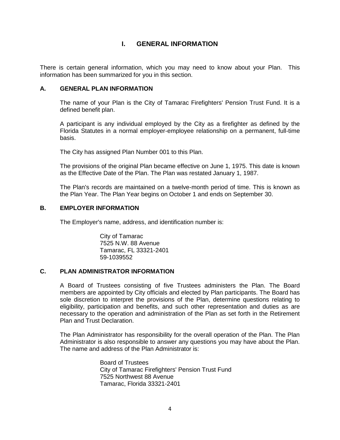# **I. GENERAL INFORMATION**

There is certain general information, which you may need to know about your Plan. This information has been summarized for you in this section.

# **A. GENERAL PLAN INFORMATION**

The name of your Plan is the City of Tamarac Firefighters' Pension Trust Fund. It is a defined benefit plan.

A participant is any individual employed by the City as a firefighter as defined by the Florida Statutes in a normal employer-employee relationship on a permanent, full-time basis.

The City has assigned Plan Number 001 to this Plan.

The provisions of the original Plan became effective on June 1, 1975. This date is known as the Effective Date of the Plan. The Plan was restated January 1, 1987.

The Plan's records are maintained on a twelve-month period of time. This is known as the Plan Year. The Plan Year begins on October 1 and ends on September 30.

#### **B. EMPLOYER INFORMATION**

The Employer's name, address, and identification number is:

City of Tamarac 7525 N.W. 88 Avenue Tamarac, FL 33321-2401 59-1039552

#### **C. PLAN ADMINISTRATOR INFORMATION**

A Board of Trustees consisting of five Trustees administers the Plan. The Board members are appointed by City officials and elected by Plan participants. The Board has sole discretion to interpret the provisions of the Plan, determine questions relating to eligibility, participation and benefits, and such other representation and duties as are necessary to the operation and administration of the Plan as set forth in the Retirement Plan and Trust Declaration.

The Plan Administrator has responsibility for the overall operation of the Plan. The Plan Administrator is also responsible to answer any questions you may have about the Plan. The name and address of the Plan Administrator is:

> Board of Trustees City of Tamarac Firefighters' Pension Trust Fund 7525 Northwest 88 Avenue Tamarac, Florida 33321-2401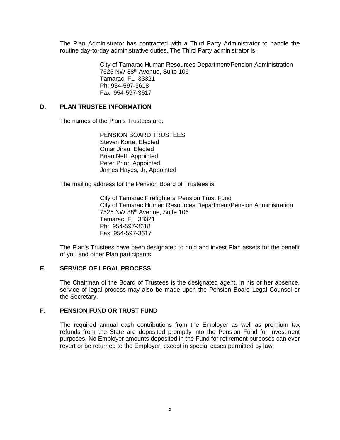The Plan Administrator has contracted with a Third Party Administrator to handle the routine day-to-day administrative duties. The Third Party administrator is:

> City of Tamarac Human Resources Department/Pension Administration 7525 NW 88th Avenue, Suite 106 Tamarac, FL 33321 Ph: 954-597-3618 Fax: 954-597-3617

#### **D. PLAN TRUSTEE INFORMATION**

The names of the Plan's Trustees are:

PENSION BOARD TRUSTEES Steven Korte, Elected Omar Jirau, Elected Brian Neff, Appointed Peter Prior, Appointed James Hayes, Jr, Appointed

The mailing address for the Pension Board of Trustees is:

City of Tamarac Firefighters' Pension Trust Fund City of Tamarac Human Resources Department/Pension Administration 7525 NW 88th Avenue, Suite 106 Tamarac, FL 33321 Ph: 954-597-3618 Fax: 954-597-3617

The Plan's Trustees have been designated to hold and invest Plan assets for the benefit of you and other Plan participants.

#### **E. SERVICE OF LEGAL PROCESS**

The Chairman of the Board of Trustees is the designated agent. In his or her absence, service of legal process may also be made upon the Pension Board Legal Counsel or the Secretary.

#### **F. PENSION FUND OR TRUST FUND**

The required annual cash contributions from the Employer as well as premium tax refunds from the State are deposited promptly into the Pension Fund for investment purposes. No Employer amounts deposited in the Fund for retirement purposes can ever revert or be returned to the Employer, except in special cases permitted by law.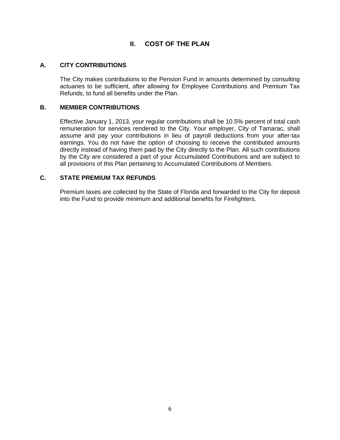# **II. COST OF THE PLAN**

#### **A. CITY CONTRIBUTIONS**

The City makes contributions to the Pension Fund in amounts determined by consulting actuaries to be sufficient, after allowing for Employee Contributions and Premium Tax Refunds, to fund all benefits under the Plan.

#### **B. MEMBER CONTRIBUTIONS**

Effective January 1, 2013, your regular contributions shall be 10.5% percent of total cash remuneration for services rendered to the City. Your employer, City of Tamarac, shall assume and pay your contributions in lieu of payroll deductions from your after-tax earnings. You do not have the option of choosing to receive the contributed amounts directly instead of having them paid by the City directly to the Plan. All such contributions by the City are considered a part of your Accumulated Contributions and are subject to all provisions of this Plan pertaining to Accumulated Contributions of Members.

#### **C. STATE PREMIUM TAX REFUNDS**

Premium taxes are collected by the State of Florida and forwarded to the City for deposit into the Fund to provide minimum and additional benefits for Firefighters.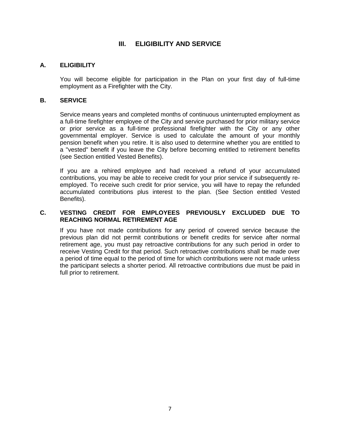# **III. ELIGIBILITY AND SERVICE**

#### **A. ELIGIBILITY**

You will become eligible for participation in the Plan on your first day of full-time employment as a Firefighter with the City.

#### **B. SERVICE**

Service means years and completed months of continuous uninterrupted employment as a full-time firefighter employee of the City and service purchased for prior military service or prior service as a full-time professional firefighter with the City or any other governmental employer. Service is used to calculate the amount of your monthly pension benefit when you retire. It is also used to determine whether you are entitled to a "vested" benefit if you leave the City before becoming entitled to retirement benefits (see Section entitled Vested Benefits).

If you are a rehired employee and had received a refund of your accumulated contributions, you may be able to receive credit for your prior service if subsequently reemployed. To receive such credit for prior service, you will have to repay the refunded accumulated contributions plus interest to the plan. (See Section entitled Vested Benefits).

#### **C. VESTING CREDIT FOR EMPLOYEES PREVIOUSLY EXCLUDED DUE TO REACHING NORMAL RETIREMENT AGE**

If you have not made contributions for any period of covered service because the previous plan did not permit contributions or benefit credits for service after normal retirement age, you must pay retroactive contributions for any such period in order to receive Vesting Credit for that period. Such retroactive contributions shall be made over a period of time equal to the period of time for which contributions were not made unless the participant selects a shorter period. All retroactive contributions due must be paid in full prior to retirement.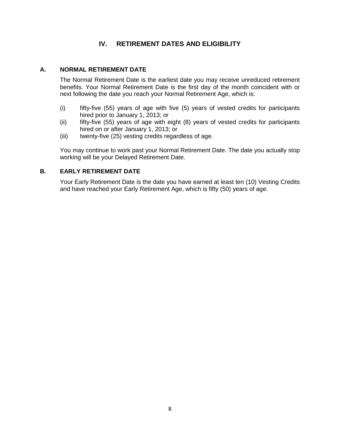# **IV. RETIREMENT DATES AND ELIGIBILITY**

#### **A. NORMAL RETIREMENT DATE**

The Normal Retirement Date is the earliest date you may receive unreduced retirement benefits. Your Normal Retirement Date is the first day of the month coincident with or next following the date you reach your Normal Retirement Age, which is:

- (i) fifty-five (55) years of age with five (5) years of vested credits for participants hired prior to January 1, 2013; or
- (ii) fifty-five (55) years of age with eight (8) years of vested credits for participants hired on or after January 1, 2013; or
- (iii) twenty-five (25) vesting credits regardless of age.

You may continue to work past your Normal Retirement Date. The date you actually stop working will be your Delayed Retirement Date.

#### **B. EARLY RETIREMENT DATE**

Your Early Retirement Date is the date you have earned at least ten (10) Vesting Credits and have reached your Early Retirement Age, which is fifty (50) years of age.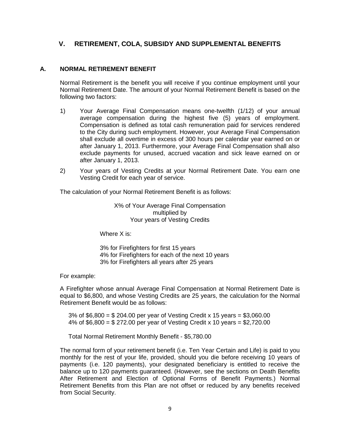# **V. RETIREMENT, COLA, SUBSIDY AND SUPPLEMENTAL BENEFITS**

#### **A. NORMAL RETIREMENT BENEFIT**

Normal Retirement is the benefit you will receive if you continue employment until your Normal Retirement Date. The amount of your Normal Retirement Benefit is based on the following two factors:

- 1) Your Average Final Compensation means one-twelfth (1/12) of your annual average compensation during the highest five (5) years of employment. Compensation is defined as total cash remuneration paid for services rendered to the City during such employment. However, your Average Final Compensation shall exclude all overtime in excess of 300 hours per calendar year earned on or after January 1, 2013. Furthermore, your Average Final Compensation shall also exclude payments for unused, accrued vacation and sick leave earned on or after January 1, 2013.
- 2) Your years of Vesting Credits at your Normal Retirement Date. You earn one Vesting Credit for each year of service.

The calculation of your Normal Retirement Benefit is as follows:

X% of Your Average Final Compensation multiplied by Your years of Vesting Credits

Where X is:

3% for Firefighters for first 15 years 4% for Firefighters for each of the next 10 years 3% for Firefighters all years after 25 years

For example:

A Firefighter whose annual Average Final Compensation at Normal Retirement Date is equal to \$6,800, and whose Vesting Credits are 25 years, the calculation for the Normal Retirement Benefit would be as follows:

 3% of \$6,800 = \$ 204.00 per year of Vesting Credit x 15 years = \$3,060.00 4% of \$6,800 = \$ 272.00 per year of Vesting Credit x 10 years = \$2,720.00

Total Normal Retirement Monthly Benefit - \$5,780.00

The normal form of your retirement benefit (i.e. Ten Year Certain and Life) is paid to you monthly for the rest of your life, provided, should you die before receiving 10 years of payments (i.e. 120 payments), your designated beneficiary is entitled to receive the balance up to 120 payments guaranteed. (However, see the sections on Death Benefits After Retirement and Election of Optional Forms of Benefit Payments.) Normal Retirement Benefits from this Plan are not offset or reduced by any benefits received from Social Security.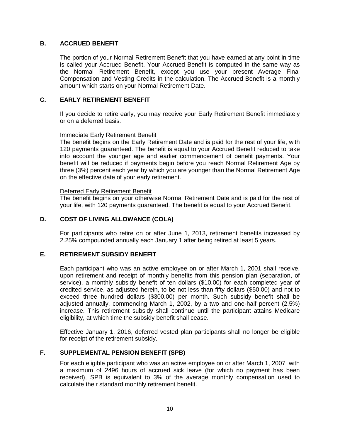#### **B. ACCRUED BENEFIT**

The portion of your Normal Retirement Benefit that you have earned at any point in time is called your Accrued Benefit. Your Accrued Benefit is computed in the same way as the Normal Retirement Benefit, except you use your present Average Final Compensation and Vesting Credits in the calculation. The Accrued Benefit is a monthly amount which starts on your Normal Retirement Date.

#### **C. EARLY RETIREMENT BENEFIT**

If you decide to retire early, you may receive your Early Retirement Benefit immediately or on a deferred basis.

#### Immediate Early Retirement Benefit

The benefit begins on the Early Retirement Date and is paid for the rest of your life, with 120 payments guaranteed. The benefit is equal to your Accrued Benefit reduced to take into account the younger age and earlier commencement of benefit payments. Your benefit will be reduced if payments begin before you reach Normal Retirement Age by three (3%) percent each year by which you are younger than the Normal Retirement Age on the effective date of your early retirement.

#### Deferred Early Retirement Benefit

The benefit begins on your otherwise Normal Retirement Date and is paid for the rest of your life, with 120 payments guaranteed. The benefit is equal to your Accrued Benefit.

#### **D. COST OF LIVING ALLOWANCE (COLA)**

For participants who retire on or after June 1, 2013, retirement benefits increased by 2.25% compounded annually each January 1 after being retired at least 5 years.

#### **E. RETIREMENT SUBSIDY BENEFIT**

Each participant who was an active employee on or after March 1, 2001 shall receive, upon retirement and receipt of monthly benefits from this pension plan (separation, of service), a monthly subsidy benefit of ten dollars (\$10.00) for each completed year of credited service, as adjusted herein, to be not less than fifty dollars (\$50.00) and not to exceed three hundred dollars (\$300.00) per month. Such subsidy benefit shall be adjusted annually, commencing March 1, 2002, by a two and one-half percent (2.5%) increase. This retirement subsidy shall continue until the participant attains Medicare eligibility, at which time the subsidy benefit shall cease.

Effective January 1, 2016, deferred vested plan participants shall no longer be eligible for receipt of the retirement subsidy.

#### **F. SUPPLEMENTAL PENSION BENEFIT (SPB)**

For each eligible participant who was an active employee on or after March 1, 2007 with a maximum of 2496 hours of accrued sick leave (for which no payment has been received), SPB is equivalent to 3% of the average monthly compensation used to calculate their standard monthly retirement benefit.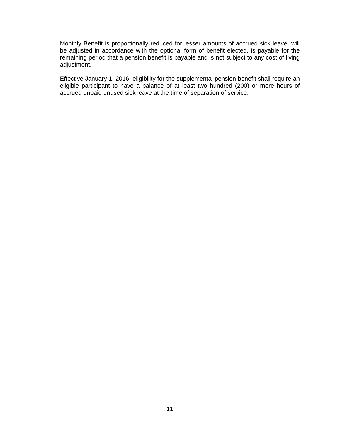Monthly Benefit is proportionally reduced for lesser amounts of accrued sick leave, will be adjusted in accordance with the optional form of benefit elected, is payable for the remaining period that a pension benefit is payable and is not subject to any cost of living adjustment.

Effective January 1, 2016, eligibility for the supplemental pension benefit shall require an eligible participant to have a balance of at least two hundred (200) or more hours of accrued unpaid unused sick leave at the time of separation of service.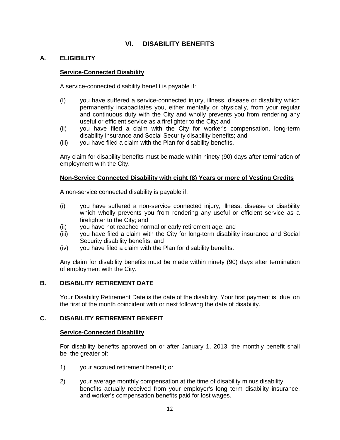# **VI. DISABILITY BENEFITS**

#### **A. ELIGIBILITY**

#### **Service-Connected Disability**

A service-connected disability benefit is payable if:

- (I) you have suffered a service-connected injury, illness, disease or disability which permanently incapacitates you, either mentally or physically, from your regular and continuous duty with the City and wholly prevents you from rendering any useful or efficient service as a firefighter to the City; and
- (ii) you have filed a claim with the City for worker's compensation, long-term disability insurance and Social Security disability benefits; and
- (iii) you have filed a claim with the Plan for disability benefits.

Any claim for disability benefits must be made within ninety (90) days after termination of employment with the City.

#### **Non-Service Connected Disability with eight (8) Years or more of Vesting Credits**

A non-service connected disability is payable if:

- (i) you have suffered a non-service connected injury, illness, disease or disability which wholly prevents you from rendering any useful or efficient service as a firefighter to the City; and
- (ii) you have not reached normal or early retirement age; and
- (iii) you have filed a claim with the City for long-term disability insurance and Social Security disability benefits; and
- (iv) you have filed a claim with the Plan for disability benefits.

Any claim for disability benefits must be made within ninety (90) days after termination of employment with the City.

#### **B. DISABILITY RETIREMENT DATE**

Your Disability Retirement Date is the date of the disability. Your first payment is due on the first of the month coincident with or next following the date of disability.

#### **C. DISABILITY RETIREMENT BENEFIT**

#### **Service-Connected Disability**

For disability benefits approved on or after January 1, 2013, the monthly benefit shall be the greater of:

- 1) your accrued retirement benefit; or
- 2) your average monthly compensation at the time of disability minus disability benefits actually received from your employer's long term disability insurance, and worker's compensation benefits paid for lost wages.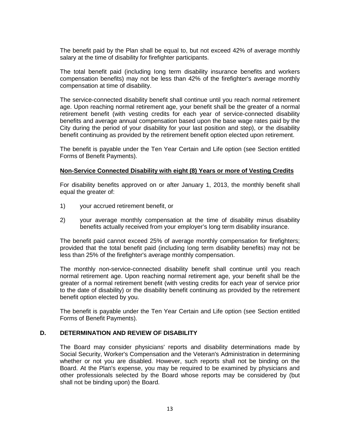The benefit paid by the Plan shall be equal to, but not exceed 42% of average monthly salary at the time of disability for firefighter participants.

The total benefit paid (including Iong term disability insurance benefits and workers compensation benefits) may not be less than 42% of the firefighter's average monthly compensation at time of disability.

The service-connected disability benefit shall continue until you reach normal retirement age. Upon reaching normal retirement age, your benefit shall be the greater of a normal retirement benefit (with vesting credits for each year of service-connected disability benefits and average annual compensation based upon the base wage rates paid by the City during the period of your disability for your last position and step), or the disability benefit continuing as provided by the retirement benefit option elected upon retirement.

The benefit is payable under the Ten Year Certain and Life option (see Section entitled Forms of Benefit Payments).

#### **Non-Service Connected Disability with eight (8) Years or more of Vesting Credits**

For disability benefits approved on or after January 1, 2013, the monthly benefit shall equal the greater of:

- 1) your accrued retirement benefit, or
- 2) your average monthly compensation at the time of disability minus disability benefits actually received from your employer's long term disability insurance.

The benefit paid cannot exceed 25% of average monthly compensation for firefighters; provided that the total benefit paid (including Iong term disability benefits) may not be less than 25% of the firefighter's average monthly compensation.

The monthly non-service-connected disability benefit shall continue until you reach normal retirement age. Upon reaching normal retirement age, your benefit shall be the greater of a normal retirement benefit (with vesting credits for each year of service prior to the date of disability) or the disability benefit continuing as provided by the retirement benefit option elected by you.

The benefit is payable under the Ten Year Certain and Life option (see Section entitled Forms of Benefit Payments).

#### **D. DETERMINATION AND REVIEW OF DISABILITY**

The Board may consider physicians' reports and disability determinations made by Social Security, Worker's Compensation and the Veteran's Administration in determining whether or not you are disabled. However, such reports shall not be binding on the Board. At the Plan's expense, you may be required to be examined by physicians and other professionals selected by the Board whose reports may be considered by (but shall not be binding upon) the Board.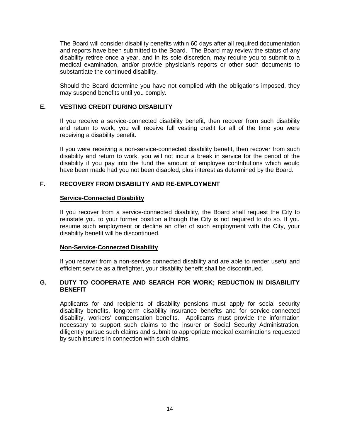The Board will consider disability benefits within 60 days after all required documentation and reports have been submitted to the Board. The Board may review the status of any disability retiree once a year, and in its sole discretion, may require you to submit to a medical examination, and/or provide physician's reports or other such documents to substantiate the continued disability.

Should the Board determine you have not complied with the obligations imposed, they may suspend benefits until you comply.

#### **E. VESTING CREDIT DURING DISABILITY**

If you receive a service-connected disability benefit, then recover from such disability and return to work, you will receive full vesting credit for all of the time you were receiving a disability benefit.

If you were receiving a non-service-connected disability benefit, then recover from such disability and return to work, you will not incur a break in service for the period of the disability if you pay into the fund the amount of employee contributions which would have been made had you not been disabled, plus interest as determined by the Board.

#### **F. RECOVERY FROM DISABILITY AND RE-EMPLOYMENT**

#### **Service-Connected Disability**

If you recover from a service-connected disability, the Board shall request the City to reinstate you to your former position although the City is not required to do so. If you resume such employment or decline an offer of such employment with the City, your disability benefit will be discontinued.

#### **Non-Service-Connected Disability**

If you recover from a non-service connected disability and are able to render useful and efficient service as a firefighter, your disability benefit shall be discontinued.

#### **G. DUTY TO COOPERATE AND SEARCH FOR WORK; REDUCTION IN DISABILITY BENEFIT**

Applicants for and recipients of disability pensions must apply for social security disability benefits, long-term disability insurance benefits and for service-connected disability, workers' compensation benefits. Applicants must provide the information necessary to support such claims to the insurer or Social Security Administration, diligently pursue such claims and submit to appropriate medical examinations requested by such insurers in connection with such claims.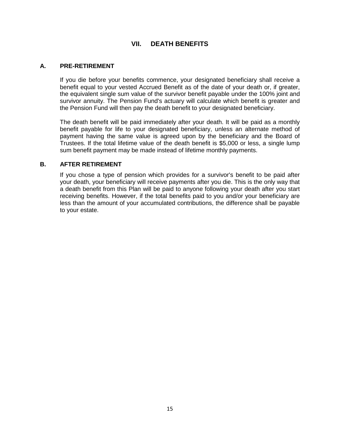# **VII. DEATH BENEFITS**

#### **A. PRE-RETIREMENT**

If you die before your benefits commence, your designated beneficiary shall receive a benefit equal to your vested Accrued Benefit as of the date of your death or, if greater, the equivalent single sum value of the survivor benefit payable under the 100% joint and survivor annuity. The Pension Fund's actuary will calculate which benefit is greater and the Pension Fund will then pay the death benefit to your designated beneficiary.

The death benefit will be paid immediately after your death. It will be paid as a monthly benefit payable for life to your designated beneficiary, unless an alternate method of payment having the same value is agreed upon by the beneficiary and the Board of Trustees. If the total lifetime value of the death benefit is \$5,000 or less, a single lump sum benefit payment may be made instead of lifetime monthly payments.

#### **B. AFTER RETIREMENT**

If you chose a type of pension which provides for a survivor's benefit to be paid after your death, your beneficiary will receive payments after you die. This is the only way that a death benefit from this Plan will be paid to anyone following your death after you start receiving benefits. However, if the total benefits paid to you and/or your beneficiary are less than the amount of your accumulated contributions, the difference shall be payable to your estate.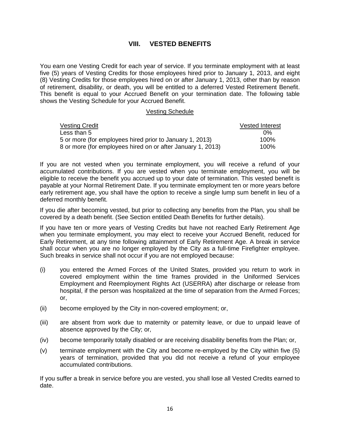# **VIII. VESTED BENEFITS**

You earn one Vesting Credit for each year of service. If you terminate employment with at least five (5) years of Vesting Credits for those employees hired prior to January 1, 2013, and eight (8) Vesting Credits for those employees hired on or after January 1, 2013, other than by reason of retirement, disability, or death, you will be entitled to a deferred Vested Retirement Benefit. This benefit is equal to your Accrued Benefit on your termination date. The following table shows the Vesting Schedule for your Accrued Benefit.

#### Vesting Schedule

| <b>Vesting Credit</b>                                       | <b>Vested Interest</b> |
|-------------------------------------------------------------|------------------------|
| Less than 5                                                 | በ%                     |
| 5 or more (for employees hired prior to January 1, 2013)    | 100%                   |
| 8 or more (for employees hired on or after January 1, 2013) | $100\%$                |

If you are not vested when you terminate employment, you will receive a refund of your accumulated contributions. If you are vested when you terminate employment, you will be eligible to receive the benefit you accrued up to your date of termination. This vested benefit is payable at your Normal Retirement Date. If you terminate employment ten or more years before early retirement age, you shall have the option to receive a single lump sum benefit in lieu of a deferred monthly benefit.

If you die after becoming vested, but prior to collecting any benefits from the Plan, you shall be covered by a death benefit. (See Section entitled Death Benefits for further details).

If you have ten or more years of Vesting Credits but have not reached Early Retirement Age when you terminate employment, you may elect to receive your Accrued Benefit, reduced for Early Retirement, at any time following attainment of Early Retirement Age. A break in service shall occur when you are no longer employed by the City as a full-time Firefighter employee. Such breaks in service shall not occur if you are not employed because:

- (i) you entered the Armed Forces of the United States, provided you return to work in covered employment within the time frames provided in the Uniformed Services Employment and Reemployment Rights Act (USERRA) after discharge or release from hospital, if the person was hospitalized at the time of separation from the Armed Forces; or,
- (ii) become employed by the City in non-covered employment; or,
- (iii) are absent from work due to maternity or paternity leave, or due to unpaid leave of absence approved by the City; or,
- (iv) become temporarily totally disabled or are receiving disability benefits from the Plan; or,
- (v) terminate employment with the City and become re-employed by the City within five (5) years of termination, provided that you did not receive a refund of your employee accumulated contributions.

If you suffer a break in service before you are vested, you shall lose all Vested Credits earned to date.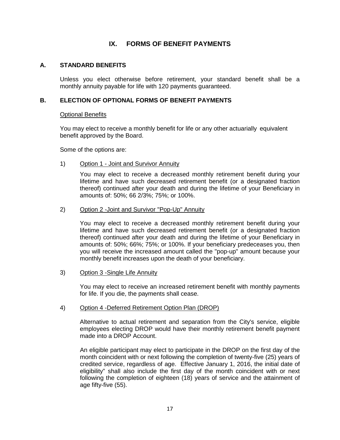# **IX. FORMS OF BENEFIT PAYMENTS**

#### **A. STANDARD BENEFITS**

Unless you elect otherwise before retirement, your standard benefit shall be a monthly annuity payable for life with 120 payments guaranteed.

#### **B. ELECTION OF OPTIONAL FORMS OF BENEFIT PAYMENTS**

#### Optional Benefits

You may elect to receive a monthly benefit for life or any other actuarially equivalent benefit approved by the Board.

Some of the options are:

#### 1) Option 1 - Joint and Survivor Annuity

You may elect to receive a decreased monthly retirement benefit during your lifetime and have such decreased retirement benefit (or a designated fraction thereof) continued after your death and during the lifetime of your Beneficiary in amounts of: 50%; 66 2/3%; 75%; or 100%.

#### 2) Option 2 -Joint and Survivor "Pop-Up" Annuity

You may elect to receive a decreased monthly retirement benefit during your lifetime and have such decreased retirement benefit (or a designated fraction thereof) continued after your death and during the lifetime of your Beneficiary in amounts of: 50%; 66%; 75%; or 100%. If your beneficiary predeceases you, then you will receive the increased amount called the "pop-up" amount because your monthly benefit increases upon the death of your beneficiary.

#### 3) Option 3 -Single Life Annuity

You may elect to receive an increased retirement benefit with monthly payments for life. If you die, the payments shall cease.

#### 4) Option 4 -Deferred Retirement Option Plan (DROP)

Alternative to actual retirement and separation from the City's service, eligible employees electing DROP would have their monthly retirement benefit payment made into a DROP Account.

An eligible participant may elect to participate in the DROP on the first day of the month coincident with or next following the completion of twenty-five (25) years of credited service, regardless of age. Effective January 1, 2016, the initial date of eligibility" shall also include the first day of the month coincident with or next following the completion of eighteen (18) years of service and the attainment of age fifty-five (55).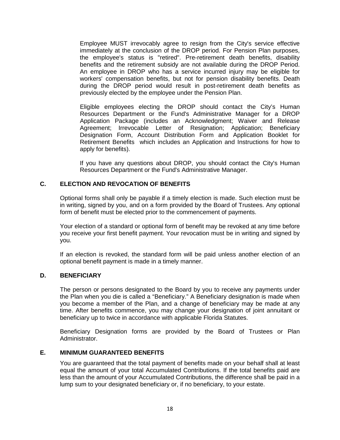Employee MUST irrevocably agree to resign from the City's service effective immediately at the conclusion of the DROP period. For Pension Plan purposes, the employee's status is "retired". Pre-retirement death benefits, disability benefits and the retirement subsidy are not available during the DROP Period. An employee in DROP who has a service incurred injury may be eligible for workers' compensation benefits, but not for pension disability benefits. Death during the DROP period would result in post-retirement death benefits as previously elected by the employee under the Pension Plan.

Eligible employees electing the DROP should contact the City's Human Resources Department or the Fund's Administrative Manager for a DROP Application Package (includes an Acknowledgment; Waiver and Release Agreement; Irrevocable Letter of Resignation; Application; Beneficiary Designation Form, Account Distribution Form and Application Booklet for Retirement Benefits which includes an Application and Instructions for how to apply for benefits).

If you have any questions about DROP, you should contact the City's Human Resources Department or the Fund's Administrative Manager.

#### **C. ELECTION AND REVOCATION OF BENEFITS**

Optional forms shall only be payable if a timely election is made. Such election must be in writing, signed by you, and on a form provided by the Board of Trustees. Any optional form of benefit must be elected prior to the commencement of payments.

Your election of a standard or optional form of benefit may be revoked at any time before you receive your first benefit payment. Your revocation must be in writing and signed by you.

If an election is revoked, the standard form will be paid unless another election of an optional benefit payment is made in a timely manner.

#### **D. BENEFICIARY**

The person or persons designated to the Board by you to receive any payments under the Plan when you die is called a "Beneficiary." A Beneficiary designation is made when you become a member of the Plan, and a change of beneficiary may be made at any time. After benefits commence, you may change your designation of joint annuitant or beneficiary up to twice in accordance with applicable Florida Statutes.

Beneficiary Designation forms are provided by the Board of Trustees or Plan Administrator.

#### **E. MINIMUM GUARANTEED BENEFITS**

You are guaranteed that the total payment of benefits made on your behalf shall at least equal the amount of your total Accumulated Contributions. If the total benefits paid are less than the amount of your Accumulated Contributions, the difference shall be paid in a lump sum to your designated beneficiary or, if no beneficiary, to your estate.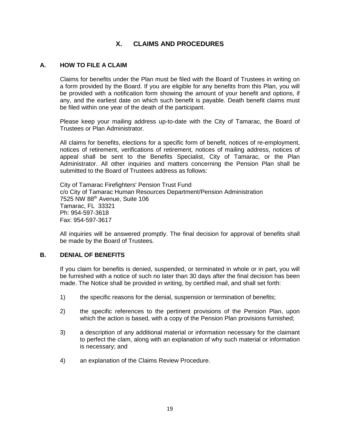# **X. CLAIMS AND PROCEDURES**

#### **A. HOW TO FILE A CLAIM**

Claims for benefits under the Plan must be filed with the Board of Trustees in writing on a form provided by the Board. If you are eligible for any benefits from this Plan, you will be provided with a notification form showing the amount of your benefit and options, if any, and the earliest date on which such benefit is payable. Death benefit claims must be filed within one year of the death of the participant.

Please keep your mailing address up-to-date with the City of Tamarac, the Board of Trustees or Plan Administrator.

All claims for benefits, elections for a specific form of benefit, notices of re-employment, notices of retirement, verifications of retirement, notices of mailing address, notices of appeal shall be sent to the Benefits Specialist, City of Tamarac, or the Plan Administrator. All other inquiries and matters concerning the Pension Plan shall be submitted to the Board of Trustees address as follows:

City of Tamarac Firefighters' Pension Trust Fund c/o City of Tamarac Human Resources Department/Pension Administration 7525 NW 88th Avenue, Suite 106 Tamarac, FL 33321 Ph: 954-597-3618 Fax: 954-597-3617

All inquiries will be answered promptly. The final decision for approval of benefits shall be made by the Board of Trustees.

#### **B. DENIAL OF BENEFITS**

If you claim for benefits is denied, suspended, or terminated in whole or in part, you will be furnished with a notice of such no later than 30 days after the final decision has been made. The Notice shall be provided in writing, by certified mail, and shall set forth:

- 1) the specific reasons for the denial, suspension or termination of benefits;
- 2) the specific references to the pertinent provisions of the Pension Plan, upon which the action is based, with a copy of the Pension Plan provisions furnished;
- 3) a description of any additional material or information necessary for the claimant to perfect the clam, along with an explanation of why such material or information is necessary; and
- 4) an explanation of the Claims Review Procedure.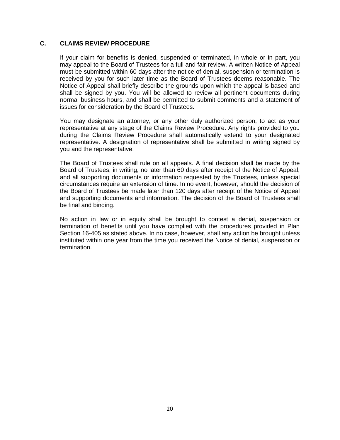#### **C. CLAIMS REVIEW PROCEDURE**

If your claim for benefits is denied, suspended or terminated, in whole or in part, you may appeal to the Board of Trustees for a full and fair review. A written Notice of Appeal must be submitted within 60 days after the notice of denial, suspension or termination is received by you for such later time as the Board of Trustees deems reasonable. The Notice of Appeal shall briefly describe the grounds upon which the appeal is based and shall be signed by you. You will be allowed to review all pertinent documents during normal business hours, and shall be permitted to submit comments and a statement of issues for consideration by the Board of Trustees.

You may designate an attorney, or any other duly authorized person, to act as your representative at any stage of the Claims Review Procedure. Any rights provided to you during the Claims Review Procedure shall automatically extend to your designated representative. A designation of representative shall be submitted in writing signed by you and the representative.

The Board of Trustees shall rule on all appeals. A final decision shall be made by the Board of Trustees, in writing, no later than 60 days after receipt of the Notice of Appeal, and all supporting documents or information requested by the Trustees, unless special circumstances require an extension of time. In no event, however, should the decision of the Board of Trustees be made later than 120 days after receipt of the Notice of Appeal and supporting documents and information. The decision of the Board of Trustees shall be final and binding.

No action in law or in equity shall be brought to contest a denial, suspension or termination of benefits until you have complied with the procedures provided in Plan Section 16-405 as stated above. In no case, however, shall any action be brought unless instituted within one year from the time you received the Notice of denial, suspension or termination.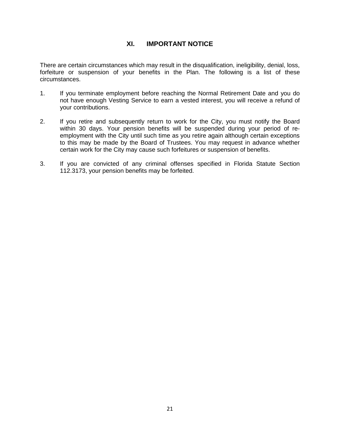# **XI. IMPORTANT NOTICE**

There are certain circumstances which may result in the disqualification, ineligibility, denial, loss, forfeiture or suspension of your benefits in the Plan. The following is a list of these circumstances.

- 1. If you terminate employment before reaching the Normal Retirement Date and you do not have enough Vesting Service to earn a vested interest, you will receive a refund of your contributions.
- 2. If you retire and subsequently return to work for the City, you must notify the Board within 30 days. Your pension benefits will be suspended during your period of reemployment with the City until such time as you retire again although certain exceptions to this may be made by the Board of Trustees. You may request in advance whether certain work for the City may cause such forfeitures or suspension of benefits.
- 3. If you are convicted of any criminal offenses specified in Florida Statute Section 112.3173, your pension benefits may be forfeited.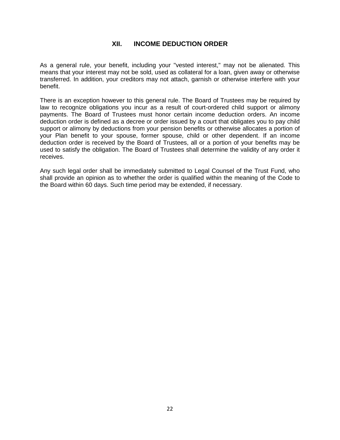# **XII. INCOME DEDUCTION ORDER**

As a general rule, your benefit, including your "vested interest," may not be alienated. This means that your interest may not be sold, used as collateral for a loan, given away or otherwise transferred. In addition, your creditors may not attach, garnish or otherwise interfere with your benefit.

There is an exception however to this general rule. The Board of Trustees may be required by law to recognize obligations you incur as a result of court-ordered child support or alimony payments. The Board of Trustees must honor certain income deduction orders. An income deduction order is defined as a decree or order issued by a court that obligates you to pay child support or alimony by deductions from your pension benefits or otherwise allocates a portion of your Plan benefit to your spouse, former spouse, child or other dependent. If an income deduction order is received by the Board of Trustees, all or a portion of your benefits may be used to satisfy the obligation. The Board of Trustees shall determine the validity of any order it receives.

Any such legal order shall be immediately submitted to Legal Counsel of the Trust Fund, who shall provide an opinion as to whether the order is qualified within the meaning of the Code to the Board within 60 days. Such time period may be extended, if necessary.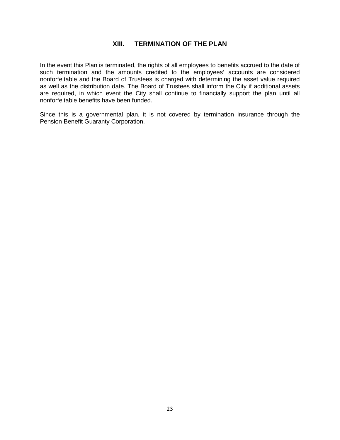# **XIII. TERMINATION OF THE PLAN**

In the event this Plan is terminated, the rights of all employees to benefits accrued to the date of such termination and the amounts credited to the employees' accounts are considered nonforfeitable and the Board of Trustees is charged with determining the asset value required as well as the distribution date. The Board of Trustees shall inform the City if additional assets are required, in which event the City shall continue to financially support the plan until all nonforfeitable benefits have been funded.

Since this is a governmental plan, it is not covered by termination insurance through the Pension Benefit Guaranty Corporation.